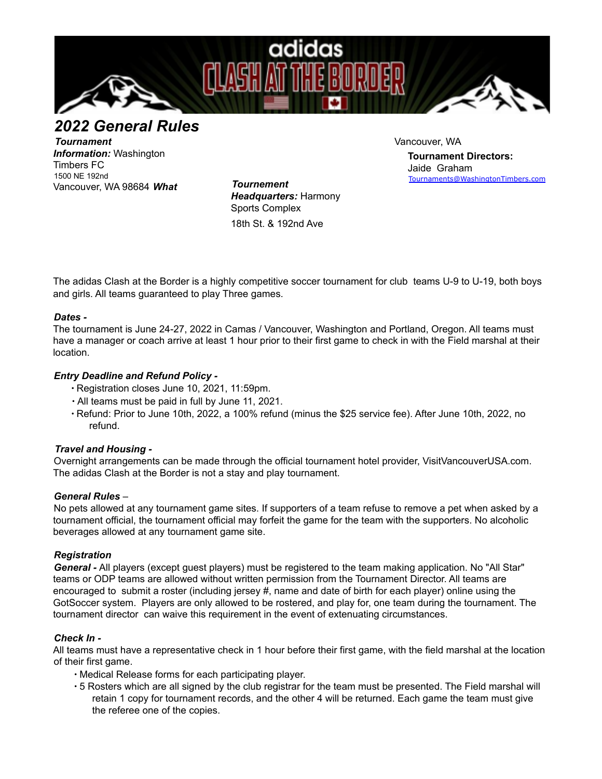

*2022 General Rules*

*Tournament Information:* Washington Timbers FC 1500 NE 192nd Vancouver, WA 98684 *What Tournement*

*Headquarters:* Harmony Sports Complex 18th St. & 192nd Ave

Vancouver, WA

**Tournament Directors:** Jaide Graham Tournaments@WashingtonTimbers.com

The adidas Clash at the Border is a highly competitive soccer tournament for club teams U-9 to U-19, both boys and girls. All teams guaranteed to play Three games.

# *Dates -*

The tournament is June 24-27, 2022 in Camas / Vancouver, Washington and Portland, Oregon. All teams must have a manager or coach arrive at least 1 hour prior to their first game to check in with the Field marshal at their location.

## *Entry Deadline and Refund Policy -*

- ∙ Registration closes June 10, 2021, 11:59pm.
- ∙ All teams must be paid in full by June 11, 2021.
- ∙ Refund: Prior to June 10th, 2022, a 100% refund (minus the \$25 service fee). After June 10th, 2022, no refund.

#### *Travel and Housing -*

Overnight arrangements can be made through the official tournament hotel provider, VisitVancouverUSA.com. The adidas Clash at the Border is not a stay and play tournament.

#### *General Rules* –

No pets allowed at any tournament game sites. If supporters of a team refuse to remove a pet when asked by a tournament official, the tournament official may forfeit the game for the team with the supporters. No alcoholic beverages allowed at any tournament game site.

# *Registration*

*General -* All players (except guest players) must be registered to the team making application. No "All Star" teams or ODP teams are allowed without written permission from the Tournament Director. All teams are encouraged to submit a roster (including jersey #, name and date of birth for each player) online using the GotSoccer system. Players are only allowed to be rostered, and play for, one team during the tournament. The tournament director can waive this requirement in the event of extenuating circumstances.

#### *Check In -*

All teams must have a representative check in 1 hour before their first game, with the field marshal at the location of their first game.

- ∙ Medical Release forms for each participating player.
- ∙ 5 Rosters which are all signed by the club registrar for the team must be presented. The Field marshal will retain 1 copy for tournament records, and the other 4 will be returned. Each game the team must give the referee one of the copies.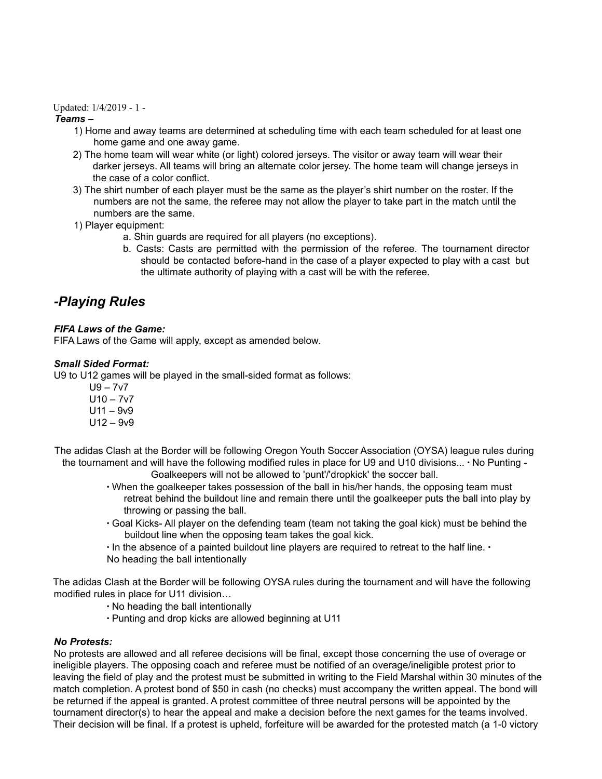#### Updated: 1/4/2019 - 1 -

## *Teams –*

- 1) Home and away teams are determined at scheduling time with each team scheduled for at least one home game and one away game.
- 2) The home team will wear white (or light) colored jerseys. The visitor or away team will wear their darker jerseys. All teams will bring an alternate color jersey. The home team will change jerseys in the case of a color conflict.
- 3) The shirt number of each player must be the same as the player's shirt number on the roster. If the numbers are not the same, the referee may not allow the player to take part in the match until the numbers are the same.
- 1) Player equipment:
	- a. Shin guards are required for all players (no exceptions).
	- b. Casts: Casts are permitted with the permission of the referee. The tournament director should be contacted before-hand in the case of a player expected to play with a cast but the ultimate authority of playing with a cast will be with the referee.

# *-Playing Rules*

## *FIFA Laws of the Game:*

FIFA Laws of the Game will apply, except as amended below.

## *Small Sided Format:*

U9 to U12 games will be played in the small-sided format as follows:

- $U9 7v7$  $U10 - 7v7$
- $U11 9v9$
- U12 9v9

The adidas Clash at the Border will be following Oregon Youth Soccer Association (OYSA) league rules during the tournament and will have the following modified rules in place for U9 and U10 divisions... ∙ No Punting -

Goalkeepers will not be allowed to 'punt'/'dropkick' the soccer ball.

- ∙ When the goalkeeper takes possession of the ball in his/her hands, the opposing team must retreat behind the buildout line and remain there until the goalkeeper puts the ball into play by throwing or passing the ball.
- ∙ Goal Kicks- All player on the defending team (team not taking the goal kick) must be behind the buildout line when the opposing team takes the goal kick.
- ∙ In the absence of a painted buildout line players are required to retreat to the half line. ∙
- No heading the ball intentionally

The adidas Clash at the Border will be following OYSA rules during the tournament and will have the following modified rules in place for U11 division…

- ∙ No heading the ball intentionally
- ∙ Punting and drop kicks are allowed beginning at U11

#### *No Protests:*

No protests are allowed and all referee decisions will be final, except those concerning the use of overage or ineligible players. The opposing coach and referee must be notified of an overage/ineligible protest prior to leaving the field of play and the protest must be submitted in writing to the Field Marshal within 30 minutes of the match completion. A protest bond of \$50 in cash (no checks) must accompany the written appeal. The bond will be returned if the appeal is granted. A protest committee of three neutral persons will be appointed by the tournament director(s) to hear the appeal and make a decision before the next games for the teams involved. Their decision will be final. If a protest is upheld, forfeiture will be awarded for the protested match (a 1-0 victory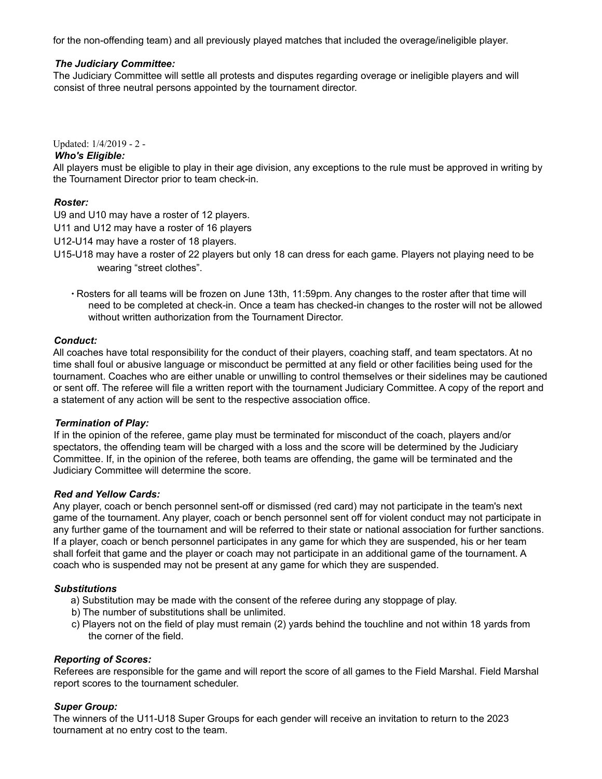for the non-offending team) and all previously played matches that included the overage/ineligible player.

## *The Judiciary Committee:*

The Judiciary Committee will settle all protests and disputes regarding overage or ineligible players and will consist of three neutral persons appointed by the tournament director.

Updated: 1/4/2019 - 2 -

#### *Who's Eligible:*

All players must be eligible to play in their age division, any exceptions to the rule must be approved in writing by the Tournament Director prior to team check-in.

## *Roster:*

U9 and U10 may have a roster of 12 players.

U11 and U12 may have a roster of 16 players

U12-U14 may have a roster of 18 players.

- U15-U18 may have a roster of 22 players but only 18 can dress for each game. Players not playing need to be wearing "street clothes".
	- ∙ Rosters for all teams will be frozen on June 13th, 11:59pm. Any changes to the roster after that time will need to be completed at check-in. Once a team has checked-in changes to the roster will not be allowed without written authorization from the Tournament Director.

#### *Conduct:*

All coaches have total responsibility for the conduct of their players, coaching staff, and team spectators. At no time shall foul or abusive language or misconduct be permitted at any field or other facilities being used for the tournament. Coaches who are either unable or unwilling to control themselves or their sidelines may be cautioned or sent off. The referee will file a written report with the tournament Judiciary Committee. A copy of the report and a statement of any action will be sent to the respective association office.

#### *Termination of Play:*

If in the opinion of the referee, game play must be terminated for misconduct of the coach, players and/or spectators, the offending team will be charged with a loss and the score will be determined by the Judiciary Committee. If, in the opinion of the referee, both teams are offending, the game will be terminated and the Judiciary Committee will determine the score.

#### *Red and Yellow Cards:*

Any player, coach or bench personnel sent-off or dismissed (red card) may not participate in the team's next game of the tournament. Any player, coach or bench personnel sent off for violent conduct may not participate in any further game of the tournament and will be referred to their state or national association for further sanctions. If a player, coach or bench personnel participates in any game for which they are suspended, his or her team shall forfeit that game and the player or coach may not participate in an additional game of the tournament. A coach who is suspended may not be present at any game for which they are suspended.

#### *Substitutions*

- a) Substitution may be made with the consent of the referee during any stoppage of play.
- b) The number of substitutions shall be unlimited.
- c) Players not on the field of play must remain (2) yards behind the touchline and not within 18 yards from the corner of the field.

#### *Reporting of Scores:*

Referees are responsible for the game and will report the score of all games to the Field Marshal. Field Marshal report scores to the tournament scheduler.

#### *Super Group:*

The winners of the U11-U18 Super Groups for each gender will receive an invitation to return to the 2023 tournament at no entry cost to the team.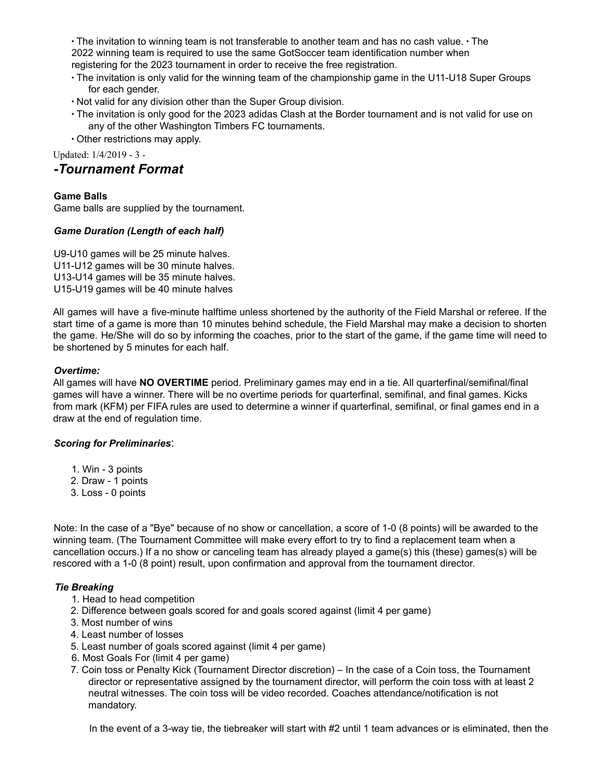∙ The invitation to winning team is not transferable to another team and has no cash value. ∙ The 2022 winning team is required to use the same GotSoccer team identification number when registering for the 2023 tournament in order to receive the free registration.

- ∙ The invitation is only valid for the winning team of the championship game in the U11-U18 Super Groups for each gender.
- ∙ Not valid for any division other than the Super Group division.
- ∙ The invitation is only good for the 2023 adidas Clash at the Border tournament and is not valid for use on any of the other Washington Timbers FC tournaments.
- ∙ Other restrictions may apply.

Updated: 1/4/2019 - 3 -

# *-Tournament Format*

## **Game Balls**

Game balls are supplied by the tournament.

## *Game Duration (Length of each half)*

U9-U10 games will be 25 minute halves. U11-U12 games will be 30 minute halves. U13-U14 games will be 35 minute halves. U15-U19 games will be 40 minute halves

All games will have a five-minute halftime unless shortened by the authority of the Field Marshal or referee. If the start time of a game is more than 10 minutes behind schedule, the Field Marshal may make a decision to shorten the game. He/She will do so by informing the coaches, prior to the start of the game, if the game time will need to be shortened by 5 minutes for each half.

## *Overtime:*

All games will have **NO OVERTIME** period. Preliminary games may end in a tie. All quarterfinal/semifinal/final games will have a winner. There will be no overtime periods for quarterfinal, semifinal, and final games. Kicks from mark (KFM) per FIFA rules are used to determine a winner if quarterfinal, semifinal, or final games end in a draw at the end of regulation time.

# *Scoring for Preliminaries*:

- 1. Win 3 points
- 2. Draw 1 points
- 3. Loss 0 points

Note: In the case of a "Bye" because of no show or cancellation, a score of 1-0 (8 points) will be awarded to the winning team. (The Tournament Committee will make every effort to try to find a replacement team when a cancellation occurs.) If a no show or canceling team has already played a game(s) this (these) games(s) will be rescored with a 1-0 (8 point) result, upon confirmation and approval from the tournament director.

# *Tie Breaking*

- 1. Head to head competition
- 2. Difference between goals scored for and goals scored against (limit 4 per game)
- 3. Most number of wins
- 4. Least number of losses
- 5. Least number of goals scored against (limit 4 per game)
- 6. Most Goals For (limit 4 per game)
- 7. Coin toss or Penalty Kick (Tournament Director discretion) In the case of a Coin toss, the Tournament director or representative assigned by the tournament director, will perform the coin toss with at least 2 neutral witnesses. The coin toss will be video recorded. Coaches attendance/notification is not mandatory.

In the event of a 3-way tie, the tiebreaker will start with #2 until 1 team advances or is eliminated, then the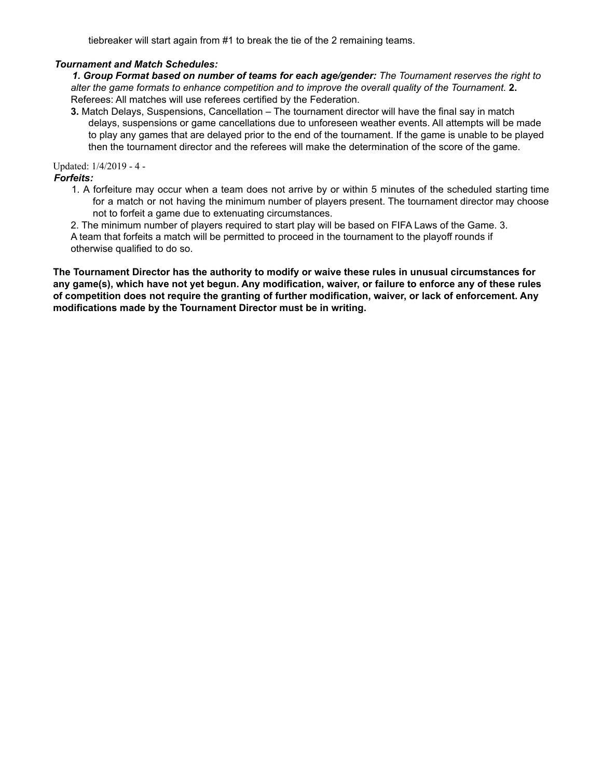tiebreaker will start again from #1 to break the tie of the 2 remaining teams.

### *Tournament and Match Schedules:*

*1. Group Format based on number of teams for each age/gender: The Tournament reserves the right to alter the game formats to enhance competition and to improve the overall quality of the Tournament.* **2.** Referees: All matches will use referees certified by the Federation.

**3.** Match Delays, Suspensions, Cancellation – The tournament director will have the final say in match delays, suspensions or game cancellations due to unforeseen weather events. All attempts will be made to play any games that are delayed prior to the end of the tournament. If the game is unable to be played then the tournament director and the referees will make the determination of the score of the game.

Updated: 1/4/2019 - 4 -

*Forfeits:*

1. A forfeiture may occur when a team does not arrive by or within 5 minutes of the scheduled starting time for a match or not having the minimum number of players present. The tournament director may choose not to forfeit a game due to extenuating circumstances.

2. The minimum number of players required to start play will be based on FIFA Laws of the Game. 3.

A team that forfeits a match will be permitted to proceed in the tournament to the playoff rounds if otherwise qualified to do so.

**The Tournament Director has the authority to modify or waive these rules in unusual circumstances for** any game(s), which have not yet begun. Any modification, waiver, or failure to enforce any of these rules **of competition does not require the granting of further modification, waiver, or lack of enforcement. Any modifications made by the Tournament Director must be in writing.**